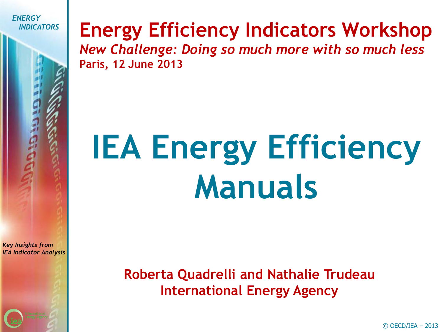

### *INDICATORS* **Energy Efficiency Indicators Workshop**

*New Challenge: Doing so much more with so much less* **Paris, 12 June 2013**

# **IEA Energy Efficiency Manuals**

*Key Insights from IEA Indicator Analysis*

> **Roberta Quadrelli and Nathalie Trudeau International Energy Agency**

> > © OECD/IEA – 2013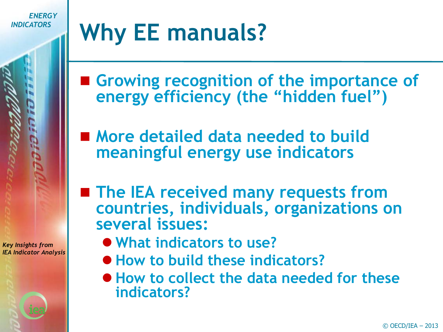### **Why EE manuals?**

■ Growing recognition of the importance of **energy efficiency (the "hidden fuel")**

■ More detailed data needed to build **meaningful energy use indicators**

- The IEA received many requests from **countries, individuals, organizations on several issues:**
- *Key Insights from IEA Indicator Analysis*
- **What indicators to use?**
- **How to build these indicators?**
- **How to collect the data needed for these indicators?**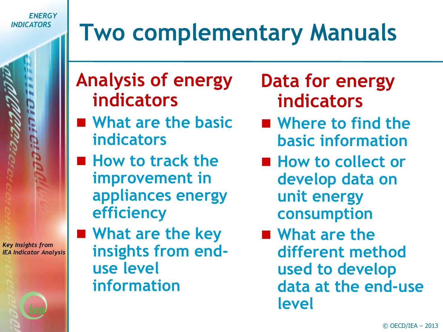# **Two complementary Manuals**

**Analysis of energy indicators**

- **What are the basic indicators**
- **How to track the improvement in appliances energy efficiency**

■ What are the key **insights from enduse level information**

**Data for energy indicators**

- Where to find the **basic information**
- How to collect or **develop data on unit energy consumption**
- What are the **different method used to develop data at the end-use level**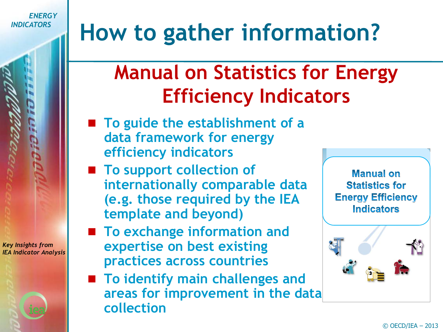*Key Insights from IEA Indicator Analysis*

# **How to gather information?**

### **Manual on Statistics for Energy Efficiency Indicators**

- To guide the establishment of a **data framework for energy efficiency indicators**
- To support collection of **internationally comparable data (e.g. those required by the IEA template and beyond)**
- To exchange information and **expertise on best existing practices across countries**
- To identify main challenges and **areas for improvement in the data collection**

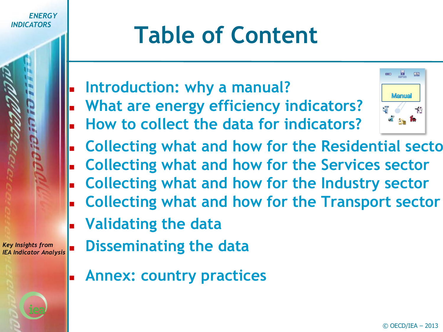

## **Table of Content**

- **Introduction: why a manual?**
- **What are energy efficiency indicators?**
- **How to collect the data for indicators?**



- **Collecting what and how for the Residential sectors**
- **Collecting what and how for the Services sector**
- **Collecting what and how for the Industry sector**
- **Collecting what and how for the Transport sector**
- **Validating the data**

- **Disseminating the data**
	- **Annex: country practices**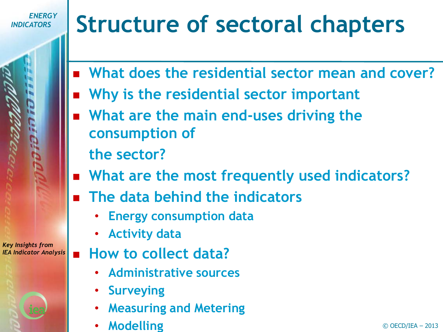# **Structure of sectoral chapters**

- **What does the residential sector mean and cover?**
- **Why is the residential sector important**
- **What are the main end-uses driving the consumption of** 
	- **the sector?**
- **What are the most frequently used indicators?**
	- **The data behind the indicators** 
		- **Energy consumption data**
		- **Activity data**
	- **How to collect data?**
		- **Administrative sources**
		- **Surveying**
		- **Measuring and Metering**
		- **Modelling**

*Key Insights from IEA Indicator Analysis*

#### $©$  OECD/IEA  $-$  2013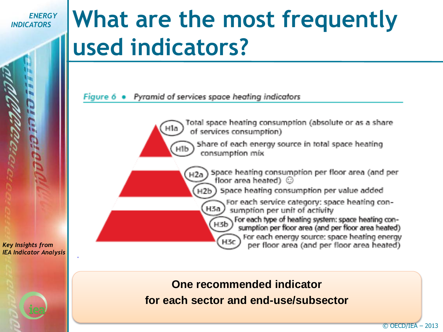### **What are the most frequently used indicators?**

#### Figure 6 · Pyramid of services space heating indicators

Total space heating consumption (absolute or as a share of services consumption)

Share of each energy source in total space heating consumption mix

Space heating consumption per floor area (and per floor area heated) @

Space heating consumption per value added н2Ь.

For each service category: space heating con-H3a sumption per unit of activity

For each type of heating system: space heating consumption per floor area (and per floor area heated) For each energy source: space heating energy per floor area (and per floor area heated)

*Key Insights from IEA Indicator Analysis*

> **One recommended indicator for each sector and end-use/subsector**

H3b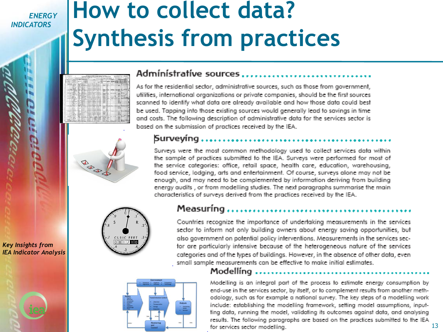*Key Insights from IEA Indicator Analysis*

### **How to collect data? Synthesis from practices**

|                                                                                                                |                                                                                                                        |                                                                                                                                                                                       | Photo & Scalebook<br><b><i><u>Assessment</u></i></b>                                                                                                                                                                                                              |                                                                                                            | -<br>344               |                                                         |                          | <b>Report Follows</b><br>--<br>−                                  |                   |                  |
|----------------------------------------------------------------------------------------------------------------|------------------------------------------------------------------------------------------------------------------------|---------------------------------------------------------------------------------------------------------------------------------------------------------------------------------------|-------------------------------------------------------------------------------------------------------------------------------------------------------------------------------------------------------------------------------------------------------------------|------------------------------------------------------------------------------------------------------------|------------------------|---------------------------------------------------------|--------------------------|-------------------------------------------------------------------|-------------------|------------------|
| for the 2 days are to the Marie Library<br><b>MAGAZINE OF</b>                                                  |                                                                                                                        | <b>CENTRAL COM</b><br>mark 1<br>z                                                                                                                                                     | <b>COM</b>                                                                                                                                                                                                                                                        |                                                                                                            |                        |                                                         |                          |                                                                   |                   |                  |
| <b>B. All Ave.</b><br><b>Lakes a</b><br>---<br><b>House</b><br>Kong of<br>Rac v                                | <b>Newman</b><br>-<br>xx<br><b>Jack Ave.</b><br>a.<br>.<br><b>THEFT</b><br>an Tarri                                    | the action of the con-<br>-<br><b>Contract Details</b><br>and a<br><b></b>                                                                                                            |                                                                                                                                                                                                                                                                   |                                                                                                            | a<br>-<br>×            | <b>Buck A</b>                                           |                          |                                                                   |                   | н                |
| <b>Carried at</b><br>$\overline{a}$<br>$-1$<br><b>William</b><br>A Lockett                                     | <b>COLLEGE</b><br>ᇤ<br><b>Bradin Street</b><br>Mary 6<br>$-1$<br><b>Margaret</b><br><b>Service</b><br>ᅭ<br>$-4000000$  | and and 1<br><b><i>CASE AND</i></b><br><b>Selection</b><br>.                                                                                                                          | <b>Contact of Contact and Contact of the Contact of Contact and Contact of Contact of The Contact of The Contact of The Contact of The Contact of The Contact of The Contact of The Contact of The Contact of The Contact of The</b><br>ing has been discount out | $-$                                                                                                        | ÷<br>-<br>≂<br>x<br>55 | <b>Bradithan Little Location</b><br>And Ave. 4 Sections |                          |                                                                   |                   |                  |
| $-0.504$<br>Colorado Maria<br>---<br>Andrew A<br>Tool.<br>esse<br>Arrest 6                                     | ≂<br>$1.0 - 1.0$<br>360000<br>u<br><b>District</b><br>5.<br>. .<br><b>SECTOR</b><br><b>ALL AFRICAN</b>                 | m.<br><b><i><u>Products</u></i></b><br><b>COLLANS</b><br><b>Lighted</b><br><b>Grid Fortun</b><br><b>CORNER</b><br><b>Light</b>                                                        | $\sim$<br>÷<br><br>œ<br><b>Science L.L.</b><br><b><i><u>STANDITION</u></i></b><br>---                                                                                                                                                                             | <b>Bally Talk</b><br><b>Bights Lifes</b><br><b>Business Streets</b>                                        | œ                      |                                                         | т<br>. .                 | 34<br>Angel 4 LL<br>$+0.044$<br>$\sim$                            |                   | ×<br>٠<br>u<br>٠ |
| and the first property<br>Andarko, M<br>1. Mich. Ro. Procent                                                   | Mar 2 A<br><br><b>But a Built and a</b><br><b>SOF</b><br><b>William Littless</b><br>ᄑ<br>                              | diam'r.<br><b>LOUNGE</b><br><b>Service Adams</b><br>a vo<br>----<br><b>Send Judice</b><br>                                                                                            | ×<br>ы<br>                                                                                                                                                                                                                                                        | Braker Alex<br><b><i><u>Property</u></i></b><br><b><i>Disposition</i></b><br><b>Allen Charles</b><br>$-10$ |                        |                                                         | ÷<br>x                   | <b>LEGISLIC</b><br>$\sim$<br>⋍<br>1.541                           |                   | ۰<br>٠           |
| $-24$<br>All Asid mess (Boys to 14 Apr 14 Apr 21 Apr 21<br>and the first track of the<br>to a common goally in | TEAC MAGE!<br><b>Viewarker</b><br>120.00<br>142                                                                        | <b>Brighton</b><br>$-$<br>222<br><b>MARINE</b><br><br><b>Killeda</b><br><b>COLLECTION</b><br><b>B. Lat. 2.</b>                                                                        | --<br>х                                                                                                                                                                                                                                                           | <b>Sent Titres</b><br><b>In June Life also</b><br><b><i><u>ABALADA</u></i></b><br><b>Brand Electron</b>    |                        | <br>. .<br>44,000<br>Acres.                             | ٠<br><b>Miller Links</b> | <b>British Co.</b><br>USLANDARY<br><b>Bringfield</b>              |                   |                  |
| ---<br>---<br>the company of contrast of<br>$-$ Lang A<br><b>Shown A</b><br>-<br>and the first and             | <b>Lines</b><br><br><b>Line and</b><br>-<br>Fax:<br><b>SERVICE</b><br><b>March 20 March 20</b><br>DEAL AND             | <b>Links</b><br><b>Salvano</b><br><b>British College</b><br><b>Editoric</b><br><b>Laster</b><br>5.25 -<br><b><i><u>Broadway</u></i></b><br><b>Bushmit</b>                             | Schleber (Minimulate ) - Elegan Library<br>Room (M. J. Daller, L.Bo.)<br>Roman H. J. Ballin, Lille.<br>The County Library<br>$-26.1$                                                                                                                              |                                                                                                            | 256                    |                                                         | .                        | 1 . Brown and 1 . 1<br>$-11$<br>----                              |                   | <br>m            |
| Lines Marks, A<br>--<br>- Trini Book 2<br>÷<br>- Mind Stop Artist -<br>Tel: Scott                              | Made Hwat<br><b>Hought</b> , P.S. (Ed.)<br><b>VESSE</b><br>-<br>$\overline{1}$                                         | <b>SALESNA</b><br><b>Contract</b><br><b>Charles</b><br><br><b>Links and</b><br><b>Horace</b>                                                                                          | ---<br>and all<br>--<br>spinster, Jackson L. Fran-                                                                                                                                                                                                                | and the distance in case                                                                                   | Tata<br>122            |                                                         |                          | 3 - 3 5 1 1 L<br>----<br>1.50003333                               | Minimum MiniMedia | ٠<br>۰           |
| Aug 1<br>and the Au<br>ac v<br>tom Autor St                                                                    | 162.,<br><b>Service</b><br><b>L'albert</b><br>Monday.<br><b>Lives</b><br>œ<br><b>County</b><br>.<br><b>Karat</b><br>n. | $\sim$<br><b>Search Color</b><br><b>SALE</b><br><b>Links</b><br><b>Stationary</b><br><b>Livia</b><br><b>School</b><br><b><i><u>Channel</u></i></b><br><b>Londonia</b><br><b>Links</b> | لمعاشر<br>۰<br><b>Line</b><br>5555<br><b>Search and</b>                                                                                                                                                                                                           | <b>Sales Lifes</b><br>Palm Life.                                                                           | ж<br>≔<br>$\sim$       |                                                         |                          | $-1 - 2 - 2 - 3 - 1 - 1$<br>---<br><br>----                       |                   | ٠                |
| estrated.<br>The State of Contract of<br><b>START OF</b><br><b>STATE</b><br><b>Black</b><br>1.16<br>-          | 179.74.4<br><b>Par Million Hotel</b><br>u<br>usin<br>Seattle E.A. L. I                                                 | <b>Links</b><br><b>The Structure</b><br><b><i><u>Defense</u></i></b><br><b>Confederation</b><br><b>SIGNATURE</b><br><b>Brighton</b><br>Tolphank.<br><b>Lights</b>                     | <b>CONTRACTOR</b><br>٠<br><b>Grand L.</b><br><b>Lighter</b><br><b>Brighting</b>                                                                                                                                                                                   | <b>Carlos Callenge</b><br>to Salve Links<br><b>Carl Link</b><br><b>SALLA</b>                               |                        | <b>Bookley</b>                                          |                          | $-11122230$<br><b>1.5 Sec. 21.11</b><br><b>BALLASHA</b><br>$\sim$ |                   |                  |
| and Body<br>ᅑ<br>--<br><b>FLAK Built</b><br>÷<br>All in Chance & Armed<br>training mental after                | <b>Weddy Line A</b><br>Weakler, \$1.00 A.M.<br>豫、晨日                                                                    | <b>Braddorfa</b><br><b>School</b><br><b>Seabook</b><br><b>Grade</b><br><b>Carlos</b><br>$\sim$<br><b>Scribed British</b><br><b>A. Bradine</b><br>the complete and hadden through      | A-An-L<br>Angelina                                                                                                                                                                                                                                                | Fight 2 per<br><b><i>Sunday</i></b> School<br><b>March Court Street</b><br>Anima dine                      |                        |                                                         |                          | <b>Grand</b> I<br>222<br>$1.266 - 8$<br>$-1.344$<br>▱             |                   |                  |
| Colorado de Maria - Edizion<br><b>Bank</b><br><b>Contract</b>                                                  | 18.<br><b>College Inc.</b><br>$\sum_{i=1}^{n}$<br>-                                                                    | St., 1984 Editor Street.<br><b>Bradford</b><br><b>Ballion</b>                                                                                                                         | <b>Continued F. R., Standard</b><br>x<br><b><i>Mark Edith Allen All II</i></b>                                                                                                                                                                                    | Sales L. Die<br>-<br><b>Share &amp; Alley</b>                                                              | 2.244                  |                                                         |                          | -                                                                 |                   |                  |

#### Administrative sources.................

As for the residential sector, administrative sources, such as those from government, utilities, international organizations or private companies, should be the first sources scanned to identify what data are already available and how those data could best be used. Tapping into those existing sources would generally lead to savings in time and costs. The following description of administrative data for the services sector is based on the submission of practices received by the IEA.

# Surveving.

DEE



Surveys were the most common methodology used to collect services data within the sample of practices submitted to the IEA. Surveys were performed for most of the service categories: office, retail space, health care, education, warehousing, food service, lodging, arts and entertainment. Of course, surveys alone may not be enough, and may need to be complemented by information deriving from building energy audits, or from modelling studies. The next paragraphs summarise the main characteristics of surveys derived from the practices received by the IEA.

#### Measuríng ,

Countries recognize the importance of undertaking measurements in the services sector to inform not only building owners about energy saving opportunities, but also government on potential policy interventions. Measurements in the services secfor are particularly intensive because of the heterogeneous nature of the services categories and of the types of buildings. However, in the absence of other data, even small sample measurements can be effective to make initial estimates.



#### Modellíng

Modelling is an integral part of the process to estimate energy consumption by end-use in the services sector, by itself, or to complement results from another methodology, such as for example a national survey. The key steps of a modelling work include: establishing the modelling framework, setting model assumptions, inputting data, running the model, validating its outcomes against data, and analysing results. The following paragraphs are based on the practices submitted to the IEA for services sector modelling.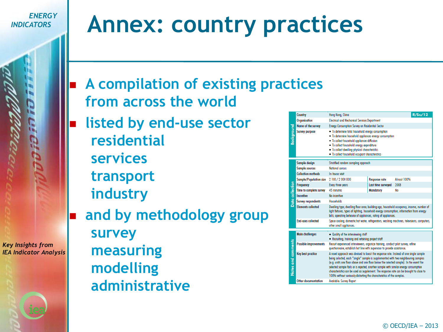*Key Insights from IEA Indicator Analysis*

### **Annex: country practices**

- **A compilation of existing practices from across the world**
	- **listed by end-use sector residential services transport industry**
- **and by methodology group survey measuring modelling administrative**

|                    |                   | Country                                                                                                                                                                                                                                                                                                                                                                                                                                                                                                                           | Hong Kong, China                                                                                                                                                                                                                                                                                             | R/Su/12              |             |  |  |  |  |
|--------------------|-------------------|-----------------------------------------------------------------------------------------------------------------------------------------------------------------------------------------------------------------------------------------------------------------------------------------------------------------------------------------------------------------------------------------------------------------------------------------------------------------------------------------------------------------------------------|--------------------------------------------------------------------------------------------------------------------------------------------------------------------------------------------------------------------------------------------------------------------------------------------------------------|----------------------|-------------|--|--|--|--|
|                    |                   | Organisation                                                                                                                                                                                                                                                                                                                                                                                                                                                                                                                      | <b>Electrical and Mechanical Services Department</b>                                                                                                                                                                                                                                                         |                      |             |  |  |  |  |
| Background         |                   | Name of the survey                                                                                                                                                                                                                                                                                                                                                                                                                                                                                                                | <b>Energy Consumption Survey on Residential Sector</b>                                                                                                                                                                                                                                                       |                      |             |  |  |  |  |
|                    |                   | <b>Survey purpose</b>                                                                                                                                                                                                                                                                                                                                                                                                                                                                                                             | • To determine total household energy consumption<br>. To determine household appliances energy consumption<br>• To collect household appliances diffusion<br>. To collect household energy expenditure<br>. To collect dwelling physical characteristics<br>. To collect household occupant characteristics |                      |             |  |  |  |  |
|                    |                   | Sample design                                                                                                                                                                                                                                                                                                                                                                                                                                                                                                                     | Stratified random sampling approach                                                                                                                                                                                                                                                                          |                      |             |  |  |  |  |
|                    |                   | <b>Sample sources</b>                                                                                                                                                                                                                                                                                                                                                                                                                                                                                                             | National census                                                                                                                                                                                                                                                                                              |                      |             |  |  |  |  |
|                    |                   | <b>Collection methods</b>                                                                                                                                                                                                                                                                                                                                                                                                                                                                                                         | In-house visit                                                                                                                                                                                                                                                                                               |                      |             |  |  |  |  |
|                    |                   | <b>Sample/Population size</b>                                                                                                                                                                                                                                                                                                                                                                                                                                                                                                     | 2 100 / 2 000 000                                                                                                                                                                                                                                                                                            | <b>Response rate</b> | Almost 100% |  |  |  |  |
|                    |                   | Frequency                                                                                                                                                                                                                                                                                                                                                                                                                                                                                                                         | Every three years                                                                                                                                                                                                                                                                                            | Last time surveyed   | 2008        |  |  |  |  |
|                    |                   | Time to complete survey                                                                                                                                                                                                                                                                                                                                                                                                                                                                                                           | 45 minutes                                                                                                                                                                                                                                                                                                   | <b>Mandatory</b>     | No          |  |  |  |  |
| Data collection    |                   | Incentive                                                                                                                                                                                                                                                                                                                                                                                                                                                                                                                         | No incentive                                                                                                                                                                                                                                                                                                 |                      |             |  |  |  |  |
|                    |                   | <b>Survey respondents</b>                                                                                                                                                                                                                                                                                                                                                                                                                                                                                                         | <b>Households</b>                                                                                                                                                                                                                                                                                            |                      |             |  |  |  |  |
|                    |                   | <b>Elements collected</b>                                                                                                                                                                                                                                                                                                                                                                                                                                                                                                         | Dwelling type, dwelling floor greg, building gge, household occupancy, income, number of<br>light fixtures, types of lighting, household energy consumption, information from energy<br>bills, operating behavior of appliances, rating of appliances.                                                       |                      |             |  |  |  |  |
|                    |                   | <b>End-uses collected</b>                                                                                                                                                                                                                                                                                                                                                                                                                                                                                                         | Space cooling, domestic hot water, refrigerators, washing machines, televisions, computers,<br>other small appliances.                                                                                                                                                                                       |                      |             |  |  |  |  |
|                    |                   |                                                                                                                                                                                                                                                                                                                                                                                                                                                                                                                                   |                                                                                                                                                                                                                                                                                                              |                      |             |  |  |  |  |
| Notes and comments |                   | <b>Main challenges</b>                                                                                                                                                                                                                                                                                                                                                                                                                                                                                                            | . Quality of the interviewing staff<br>• Recruiting, training and retaining project staff                                                                                                                                                                                                                    |                      |             |  |  |  |  |
|                    |                   | <b>Possible improvements</b>                                                                                                                                                                                                                                                                                                                                                                                                                                                                                                      | Recruit experienced interviewers, organize training, conduct pilot survey, refine<br>questionnaire, establish hot line with supervisor to provide assistance.                                                                                                                                                |                      |             |  |  |  |  |
|                    | Key best practice | A novel approach was devised to boost the response rate. Instead of one single sample<br>being selected, each "single" sample is supplemented with two neighbouring samples<br>(e.g. units one floor above and one floor below the selected sample). In the event the<br>selected sample fails or is rejected, another sample with similar energy consumption<br>characteristics can be used as supplement. The response rate can be brought to close to<br>100% without seriously distorting the characteristics of the samples. |                                                                                                                                                                                                                                                                                                              |                      |             |  |  |  |  |
|                    |                   | Other documentation                                                                                                                                                                                                                                                                                                                                                                                                                                                                                                               | Available: Survey Report                                                                                                                                                                                                                                                                                     |                      |             |  |  |  |  |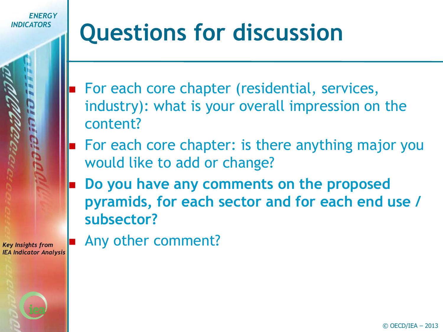## **Questions for discussion**

- For each core chapter (residential, services, industry): what is your overall impression on the content?
- For each core chapter: is there anything major you would like to add or change?
- **Do you have any comments on the proposed pyramids, for each sector and for each end use / subsector?**

*Key Insights from IEA Indicator Analysis* Any other comment?

 $\odot$  OECD/IEA - 2013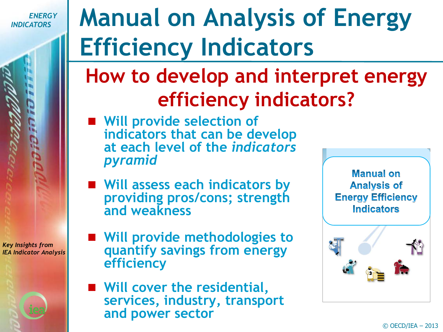*Key Insights from IEA Indicator Analysis*

# **Manual on Analysis of Energy Efficiency Indicators**

### **How to develop and interpret energy efficiency indicators?**

- **Will provide selection of indicators that can be develop at each level of the** *indicators pyramid*
- **Will assess each indicators by providing pros/cons; strength and weakness**
- Will provide methodologies to **quantify savings from energy efficiency**
- Will cover the residential, **services, industry, transport and power sector**

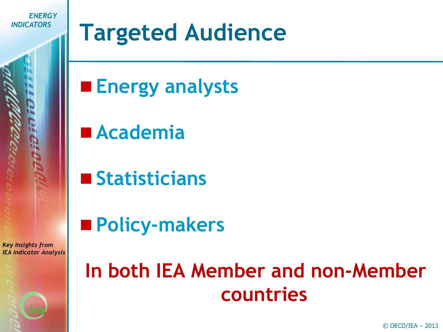### **Targeted Audience**

**Energy analysts** 

**Academia**

**Statisticians**

**Policy-makers**

*Key Insights from IEA Indicator Analysis*

### **In both IEA Member and non-Member countries**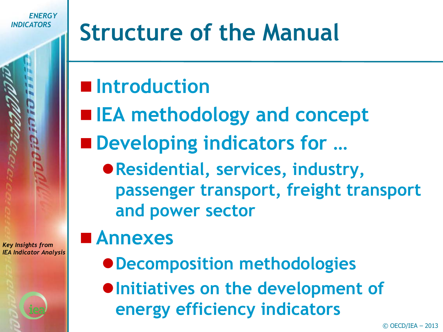### **Structure of the Manual**

### **Introduction**

- **IEA methodology and concept**
- Developing indicators for ...
	- **Residential, services, industry, passenger transport, freight transport and power sector**

### **Annexes**

- **Decomposition methodologies**
- $\bullet$  **Initiatives on the development of energy efficiency indicators**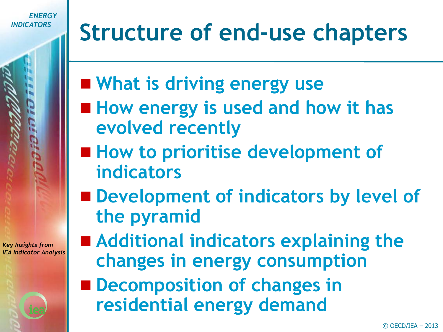# **Structure of end-use chapters**

- **What is driving energy use**
- How energy is used and how it has **evolved recently**
- **How to prioritise development of indicators**
- Development of indicators by level of **the pyramid**

- Additional indicators explaining the **changes in energy consumption**
- Decomposition of changes in **residential energy demand**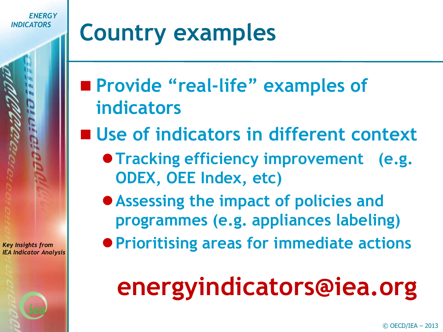### **Country examples**

- **Provide "real-life" examples of indicators**
- Use of indicators in different context
	- **Tracking efficiency improvement (e.g. ODEX, OEE Index, etc)**
	- **Assessing the impact of policies and programmes (e.g. appliances labeling)**
	- **Prioritising areas for immediate actions**

# **energyindicators@iea.org**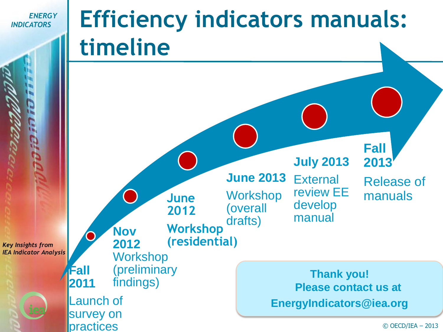practices

### **Efficiency indicators manuals: timeline**

*Key Insights from IEA Indicator Analysis* **Fall 2011**  Launch of survey on **Nov 2012 Workshop** (preliminary findings) **June 2012 Workshop (residential) June 2013 Workshop** (overall drafts) **July 2013 External** review EE develop manual **Fall 2013**  Release of manuals **Thank you! Please contact us at EnergyIndicators@iea.org**

 $©$  OECD/IEA  $-$  2013